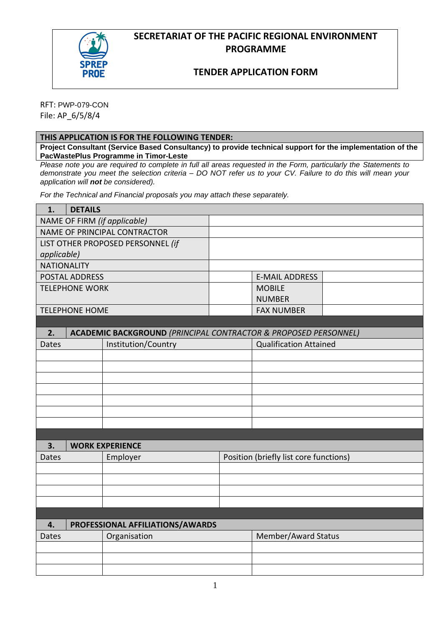

## **SECRETARIAT OF THE PACIFIC REGIONAL ENVIRONMENT PROGRAMME**

## **TENDER APPLICATION FORM**

RFT: PWP-079-CON File: AP\_6/5/8/4

### **THIS APPLICATION IS FOR THE FOLLOWING TENDER:**

**Project Consultant (Service Based Consultancy) to provide technical support for the implementation of the PacWastePlus Programme in Timor-Leste**

*Please note you are required to complete in full all areas requested in the Form, particularly the Statements to demonstrate you meet the selection criteria – DO NOT refer us to your CV. Failure to do this will mean your application will not be considered).* 

*For the Technical and Financial proposals you may attach these separately.* 

| 1.                 | <b>DETAILS</b>        |                                                                            |                                        |  |
|--------------------|-----------------------|----------------------------------------------------------------------------|----------------------------------------|--|
|                    |                       | NAME OF FIRM (if applicable)                                               |                                        |  |
|                    |                       | NAME OF PRINCIPAL CONTRACTOR                                               |                                        |  |
|                    |                       | LIST OTHER PROPOSED PERSONNEL (if                                          |                                        |  |
| applicable)        |                       |                                                                            |                                        |  |
| <b>NATIONALITY</b> |                       |                                                                            |                                        |  |
|                    | <b>POSTAL ADDRESS</b> |                                                                            | <b>E-MAIL ADDRESS</b>                  |  |
|                    | <b>TELEPHONE WORK</b> |                                                                            | <b>MOBILE</b>                          |  |
|                    |                       |                                                                            | <b>NUMBER</b>                          |  |
|                    | <b>TELEPHONE HOME</b> |                                                                            | <b>FAX NUMBER</b>                      |  |
|                    |                       |                                                                            |                                        |  |
| 2.                 |                       | <b>ACADEMIC BACKGROUND (PRINCIPAL CONTRACTOR &amp; PROPOSED PERSONNEL)</b> |                                        |  |
| <b>Dates</b>       |                       | Institution/Country                                                        | <b>Qualification Attained</b>          |  |
|                    |                       |                                                                            |                                        |  |
|                    |                       |                                                                            |                                        |  |
|                    |                       |                                                                            |                                        |  |
|                    |                       |                                                                            |                                        |  |
|                    |                       |                                                                            |                                        |  |
|                    |                       |                                                                            |                                        |  |
|                    |                       |                                                                            |                                        |  |
| 3.                 |                       | <b>WORK EXPERIENCE</b>                                                     |                                        |  |
| <b>Dates</b>       |                       |                                                                            |                                        |  |
|                    |                       | Employer                                                                   | Position (briefly list core functions) |  |
|                    |                       |                                                                            |                                        |  |
|                    |                       |                                                                            |                                        |  |
|                    |                       |                                                                            |                                        |  |
|                    |                       |                                                                            |                                        |  |
| 4.                 |                       | PROFESSIONAL AFFILIATIONS/AWARDS                                           |                                        |  |
| <b>Dates</b>       |                       | Organisation                                                               | Member/Award Status                    |  |
|                    |                       |                                                                            |                                        |  |
|                    |                       |                                                                            |                                        |  |
|                    |                       |                                                                            |                                        |  |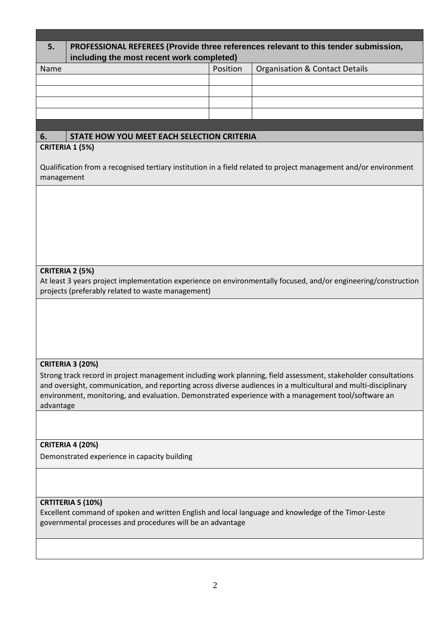| 5.         |                                                                                                                                                                   |          | PROFESSIONAL REFEREES (Provide three references relevant to this tender submission,                              |
|------------|-------------------------------------------------------------------------------------------------------------------------------------------------------------------|----------|------------------------------------------------------------------------------------------------------------------|
|            | including the most recent work completed)                                                                                                                         |          |                                                                                                                  |
| Name       |                                                                                                                                                                   | Position | <b>Organisation &amp; Contact Details</b>                                                                        |
|            |                                                                                                                                                                   |          |                                                                                                                  |
|            |                                                                                                                                                                   |          |                                                                                                                  |
|            |                                                                                                                                                                   |          |                                                                                                                  |
|            |                                                                                                                                                                   |          |                                                                                                                  |
| 6.         | STATE HOW YOU MEET EACH SELECTION CRITERIA                                                                                                                        |          |                                                                                                                  |
|            | CRITERIA 1 (5%)                                                                                                                                                   |          |                                                                                                                  |
| management |                                                                                                                                                                   |          | Qualification from a recognised tertiary institution in a field related to project management and/or environment |
|            |                                                                                                                                                                   |          |                                                                                                                  |
|            |                                                                                                                                                                   |          |                                                                                                                  |
|            |                                                                                                                                                                   |          |                                                                                                                  |
|            |                                                                                                                                                                   |          |                                                                                                                  |
|            |                                                                                                                                                                   |          |                                                                                                                  |
|            |                                                                                                                                                                   |          |                                                                                                                  |
|            | CRITERIA 2 (5%)                                                                                                                                                   |          |                                                                                                                  |
|            | projects (preferably related to waste management)                                                                                                                 |          | At least 3 years project implementation experience on environmentally focused, and/or engineering/construction   |
|            |                                                                                                                                                                   |          |                                                                                                                  |
|            |                                                                                                                                                                   |          |                                                                                                                  |
|            |                                                                                                                                                                   |          |                                                                                                                  |
|            |                                                                                                                                                                   |          |                                                                                                                  |
|            |                                                                                                                                                                   |          |                                                                                                                  |
|            | <b>CRITERIA 3 (20%)</b>                                                                                                                                           |          |                                                                                                                  |
|            |                                                                                                                                                                   |          | Strong track record in project management including work planning, field assessment, stakeholder consultations   |
|            |                                                                                                                                                                   |          | and oversight, communication, and reporting across diverse audiences in a multicultural and multi-disciplinary   |
| advantage  |                                                                                                                                                                   |          | environment, monitoring, and evaluation. Demonstrated experience with a management tool/software an              |
|            |                                                                                                                                                                   |          |                                                                                                                  |
|            |                                                                                                                                                                   |          |                                                                                                                  |
|            | <b>CRITERIA 4 (20%)</b>                                                                                                                                           |          |                                                                                                                  |
|            | Demonstrated experience in capacity building                                                                                                                      |          |                                                                                                                  |
|            |                                                                                                                                                                   |          |                                                                                                                  |
|            |                                                                                                                                                                   |          |                                                                                                                  |
|            |                                                                                                                                                                   |          |                                                                                                                  |
|            | CRTITERIA 5 (10%)                                                                                                                                                 |          |                                                                                                                  |
|            | Excellent command of spoken and written English and local language and knowledge of the Timor-Leste<br>governmental processes and procedures will be an advantage |          |                                                                                                                  |
|            |                                                                                                                                                                   |          |                                                                                                                  |
|            |                                                                                                                                                                   |          |                                                                                                                  |
|            |                                                                                                                                                                   |          |                                                                                                                  |
|            |                                                                                                                                                                   |          |                                                                                                                  |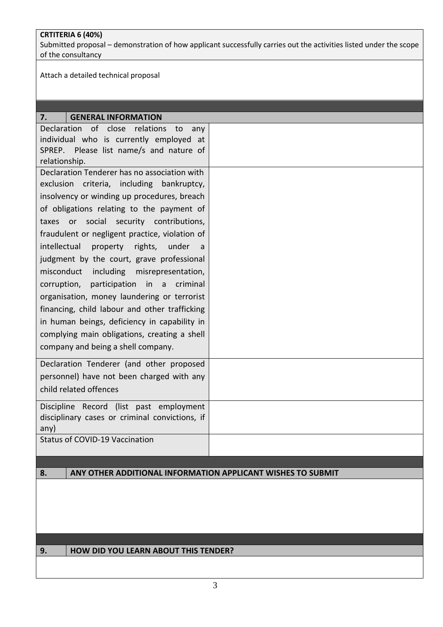### **CRTITERIA 6 (40%)**

Submitted proposal – demonstration of how applicant successfully carries out the activities listed under the scope of the consultancy

Attach a detailed technical proposal

| <b>GENERAL INFORMATION</b><br>7.                         |
|----------------------------------------------------------|
| of close<br><b>Declaration</b><br>relations<br>to<br>any |
| individual who is currently employed at                  |
| SPREP. Please list name/s and nature of                  |
| relationship.                                            |
| Declaration Tenderer has no association with             |
| exclusion criteria, including bankruptcy,                |
| insolvency or winding up procedures, breach              |
| of obligations relating to the payment of                |
| taxes or social security contributions,                  |
| fraudulent or negligent practice, violation of           |
| intellectual<br>property<br>rights, under<br>a           |
| judgment by the court, grave professional                |
| misconduct<br>including misrepresentation,               |
| participation in a criminal<br>corruption,               |
| organisation, money laundering or terrorist              |
|                                                          |
| financing, child labour and other trafficking            |
| in human beings, deficiency in capability in             |
| complying main obligations, creating a shell             |
| company and being a shell company.                       |
| Declaration Tenderer (and other proposed                 |
| personnel) have not been charged with any                |
|                                                          |
| child related offences                                   |
| Discipline Record (list past employment                  |
| disciplinary cases or criminal convictions, if           |
| any)                                                     |
| <b>Status of COVID-19 Vaccination</b>                    |
|                                                          |
|                                                          |

### **8. ANY OTHER ADDITIONAL INFORMATION APPLICANT WISHES TO SUBMIT**

### **9. HOW DID YOU LEARN ABOUT THIS TENDER?**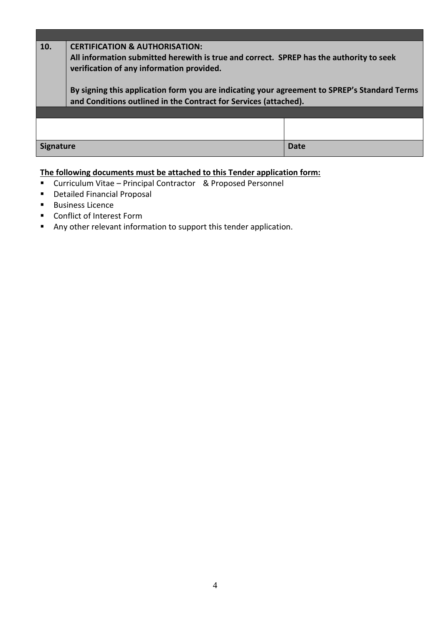# **10. CERTIFICATION & AUTHORISATION: All information submitted herewith is true and correct. SPREP has the authority to seek verification of any information provided. By signing this application form you are indicating your agreement to SPREP's Standard Terms and Conditions outlined in the Contract for Services (attached). Signature Date**

## **The following documents must be attached to this Tender application form:**

- Curriculum Vitae Principal Contractor & Proposed Personnel
- Detailed Financial Proposal
- Business Licence
- Conflict of Interest Form
- Any other relevant information to support this tender application.